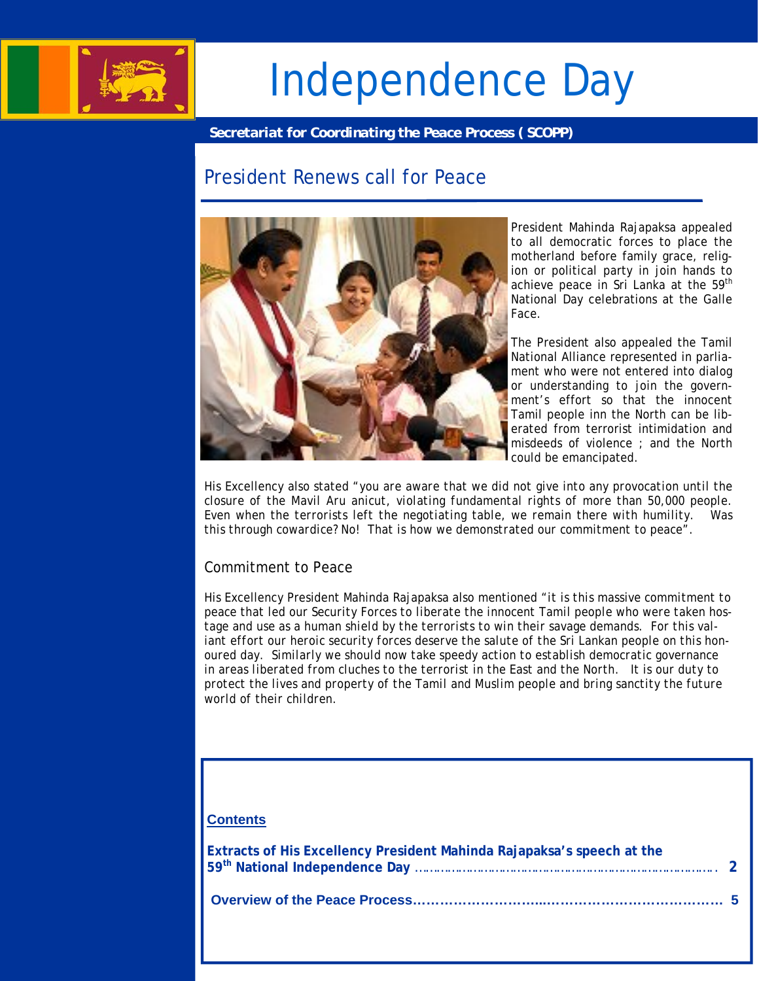

# Independence Day

*Secretariat for Coordinating the Peace Process ( SCOPP)* 

## President Renews call for Peace



President Mahinda Rajapaksa appealed to all democratic forces to place the motherland before family grace, religion or political party in join hands to achieve peace in Sri Lanka at the 59<sup>th</sup> National Day celebrations at the Galle Face.

The President also appealed the Tamil National Alliance represented in parliament who were not entered into dialog or understanding to join the government's effort so that the innocent Tamil people inn the North can be liberated from terrorist intimidation and misdeeds of violence ; and the North could be emancipated.

His Excellency also stated "*you are aware that we did not give into any provocation until the closure of the Mavil Aru anicut, violating fundamental rights of more than 50,000 people. Even when the terrorists left the negotiating table, we remain there with humility. Was this through cowardice? No! That is how we demonstrated our commitment to peace*".

## Commitment to Peace

His Excellency President Mahinda Rajapaksa also mentioned *"it is this massive commitment to peace that led our Security Forces to liberate the innocent Tamil people who were taken hostage and use as a human shield by the terrorists to win their savage demands. For this valiant effort our heroic security forces deserve the salute of the Sri Lankan people on this honoured day. Similarly we should now take speedy action to establish democratic governance in areas liberated from cluches to the terrorist in the East and the North. It is our duty to protect the lives and property of the Tamil and Muslim people and bring sanctity the future world of their children.* 

#### **Contents**

| Extracts of His Excellency President Mahinda Rajapaksa's speech at the |  |
|------------------------------------------------------------------------|--|
|                                                                        |  |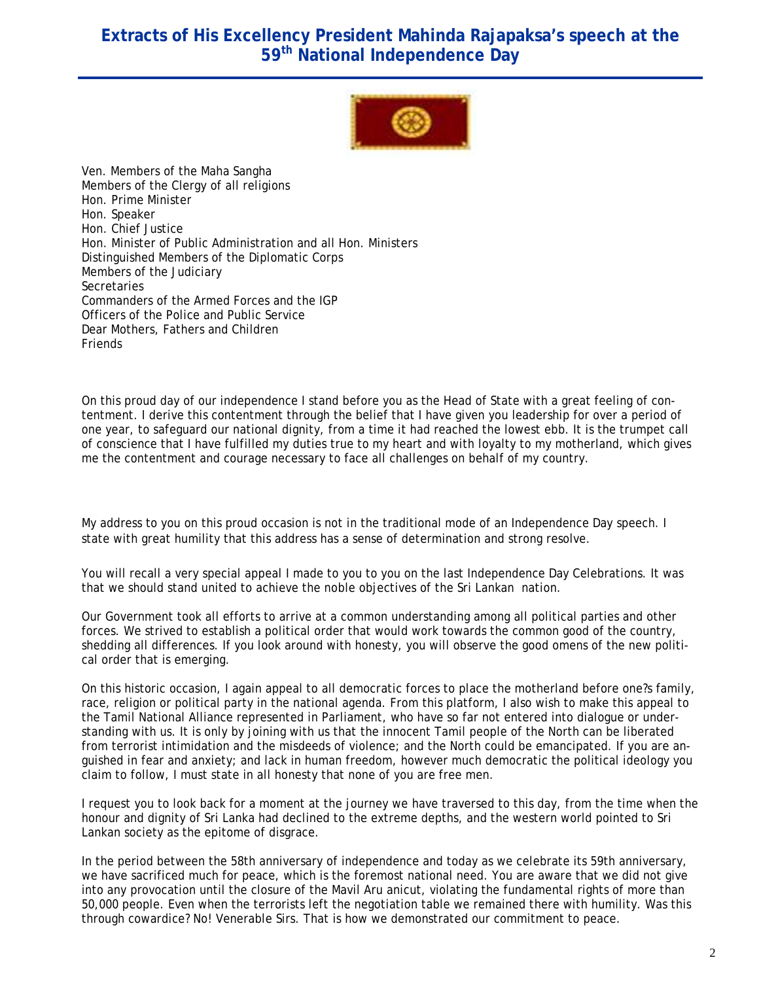## **Extracts of His Excellency President Mahinda Rajapaksa's speech at the 59th National Independence Day**



Ven. Members of the Maha Sangha Members of the Clergy of all religions Hon. Prime Minister Hon. Speaker Hon. Chief Justice Hon. Minister of Public Administration and all Hon. Ministers Distinguished Members of the Diplomatic Corps Members of the Judiciary **Secretaries** Commanders of the Armed Forces and the IGP Officers of the Police and Public Service Dear Mothers, Fathers and Children Friends

l.

On this proud day of our independence I stand before you as the Head of State with a great feeling of contentment. I derive this contentment through the belief that I have given you leadership for over a period of one year, to safeguard our national dignity, from a time it had reached the lowest ebb. It is the trumpet call of conscience that I have fulfilled my duties true to my heart and with loyalty to my motherland, which gives me the contentment and courage necessary to face all challenges on behalf of my country.

My address to you on this proud occasion is not in the traditional mode of an Independence Day speech. I state with great humility that this address has a sense of determination and strong resolve.

You will recall a very special appeal I made to you to you on the last Independence Day Celebrations. It was that we should stand united to achieve the noble objectives of the Sri Lankan nation.

Our Government took all efforts to arrive at a common understanding among all political parties and other forces. We strived to establish a political order that would work towards the common good of the country, shedding all differences. If you look around with honesty, you will observe the good omens of the new political order that is emerging.

On this historic occasion, I again appeal to all democratic forces to place the motherland before one?s family, race, religion or political party in the national agenda. From this platform, I also wish to make this appeal to the Tamil National Alliance represented in Parliament, who have so far not entered into dialogue or understanding with us. It is only by joining with us that the innocent Tamil people of the North can be liberated from terrorist intimidation and the misdeeds of violence; and the North could be emancipated. If you are anguished in fear and anxiety; and lack in human freedom, however much democratic the political ideology you claim to follow, I must state in all honesty that none of you are free men.

I request you to look back for a moment at the journey we have traversed to this day, from the time when the honour and dignity of Sri Lanka had declined to the extreme depths, and the western world pointed to Sri Lankan society as the epitome of disgrace.

In the period between the 58th anniversary of independence and today as we celebrate its 59th anniversary, we have sacrificed much for peace, which is the foremost national need. You are aware that we did not give into any provocation until the closure of the Mavil Aru anicut, violating the fundamental rights of more than 50,000 people. Even when the terrorists left the negotiation table we remained there with humility. Was this through cowardice? No! Venerable Sirs. That is how we demonstrated our commitment to peace.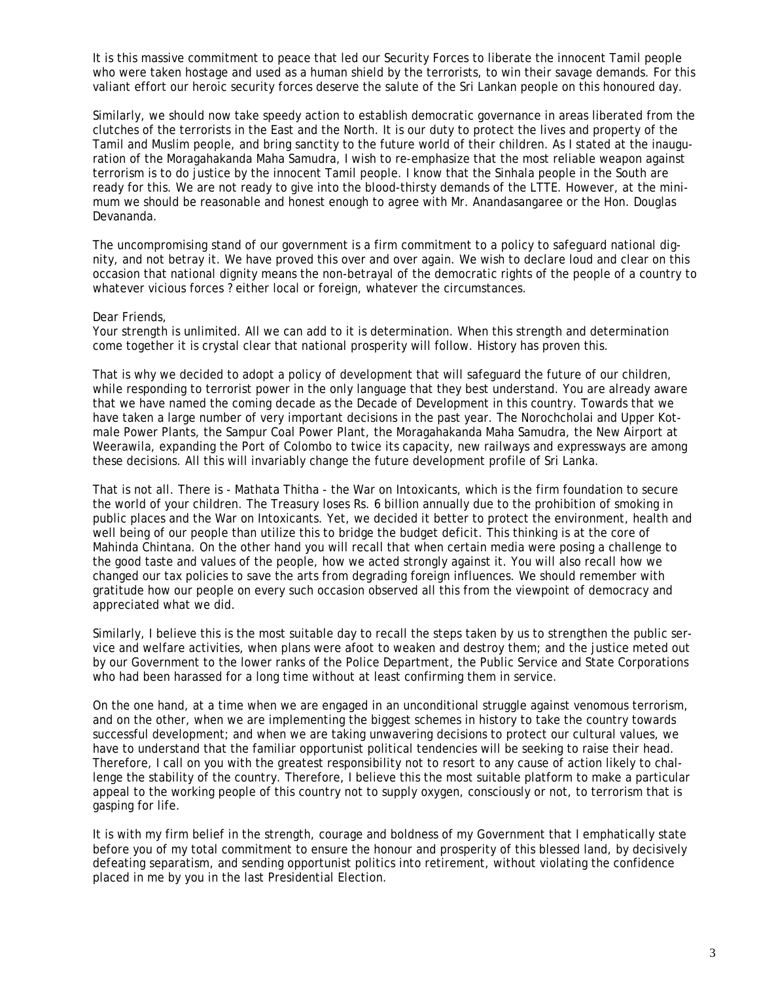who were taken hostage and used as a human shield by the terrorists, to win their savage demands. For this It is this massive commitment to peace that led our Security Forces to liberate the innocent Tamil people valiant effort our heroic security forces deserve the salute of the Sri Lankan people on this honoured day.

Similarly, we should now take speedy action to establish democratic governance in areas liberated from the clutches of the terrorists in the East and the North. It is our duty to protect the lives and property of the Tamil and Muslim people, and bring sanctity to the future world of their children. As I stated at the inauguration of the Moragahakanda Maha Samudra, I wish to re-emphasize that the most reliable weapon against terrorism is to do justice by the innocent Tamil people. I know that the Sinhala people in the South are ready for this. We are not ready to give into the blood-thirsty demands of the LTTE. However, at the minimum we should be reasonable and honest enough to agree with Mr. Anandasangaree or the Hon. Douglas Devananda.

The uncompromising stand of our government is a firm commitment to a policy to safeguard national dignity, and not betray it. We have proved this over and over again. We wish to declare loud and clear on this occasion that national dignity means the non-betrayal of the democratic rights of the people of a country to whatever vicious forces ? either local or foreign, whatever the circumstances.

#### Dear Friends,

Your strength is unlimited. All we can add to it is determination. When this strength and determination come together it is crystal clear that national prosperity will follow. History has proven this.

That is why we decided to adopt a policy of development that will safeguard the future of our children, while responding to terrorist power in the only language that they best understand. You are already aware that we have named the coming decade as the Decade of Development in this country. Towards that we have taken a large number of very important decisions in the past year. The Norochcholai and Upper Kotmale Power Plants, the Sampur Coal Power Plant, the Moragahakanda Maha Samudra, the New Airport at Weerawila, expanding the Port of Colombo to twice its capacity, new railways and expressways are among these decisions. All this will invariably change the future development profile of Sri Lanka.

That is not all. There is - Mathata Thitha - the War on Intoxicants, which is the firm foundation to secure the world of your children. The Treasury loses Rs. 6 billion annually due to the prohibition of smoking in public places and the War on Intoxicants. Yet, we decided it better to protect the environment, health and well being of our people than utilize this to bridge the budget deficit. This thinking is at the core of Mahinda Chintana. On the other hand you will recall that when certain media were posing a challenge to the good taste and values of the people, how we acted strongly against it. You will also recall how we changed our tax policies to save the arts from degrading foreign influences. We should remember with gratitude how our people on every such occasion observed all this from the viewpoint of democracy and appreciated what we did.

Similarly, I believe this is the most suitable day to recall the steps taken by us to strengthen the public service and welfare activities, when plans were afoot to weaken and destroy them; and the justice meted out by our Government to the lower ranks of the Police Department, the Public Service and State Corporations who had been harassed for a long time without at least confirming them in service.

On the one hand, at a time when we are engaged in an unconditional struggle against venomous terrorism, and on the other, when we are implementing the biggest schemes in history to take the country towards successful development; and when we are taking unwavering decisions to protect our cultural values, we have to understand that the familiar opportunist political tendencies will be seeking to raise their head. Therefore, I call on you with the greatest responsibility not to resort to any cause of action likely to challenge the stability of the country. Therefore, I believe this the most suitable platform to make a particular appeal to the working people of this country not to supply oxygen, consciously or not, to terrorism that is gasping for life.

It is with my firm belief in the strength, courage and boldness of my Government that I emphatically state before you of my total commitment to ensure the honour and prosperity of this blessed land, by decisively defeating separatism, and sending opportunist politics into retirement, without violating the confidence placed in me by you in the last Presidential Election.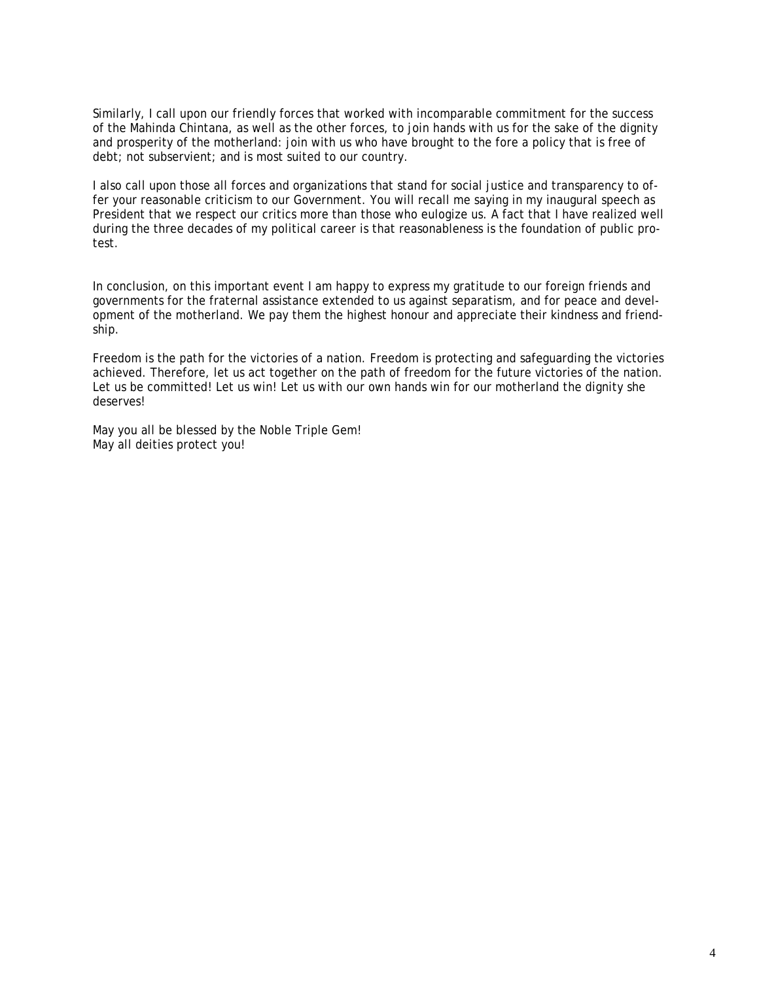Similarly, I call upon our friendly forces that worked with incomparable commitment for the success of the Mahinda Chintana, as well as the other forces, to join hands with us for the sake of the dignity and prosperity of the motherland: join with us who have brought to the fore a policy that is free of debt; not subservient; and is most suited to our country.

I also call upon those all forces and organizations that stand for social justice and transparency to offer your reasonable criticism to our Government. You will recall me saying in my inaugural speech as President that we respect our critics more than those who eulogize us. A fact that I have realized well during the three decades of my political career is that reasonableness is the foundation of public protest.

In conclusion, on this important event I am happy to express my gratitude to our foreign friends and governments for the fraternal assistance extended to us against separatism, and for peace and development of the motherland. We pay them the highest honour and appreciate their kindness and friendship.

Freedom is the path for the victories of a nation. Freedom is protecting and safeguarding the victories achieved. Therefore, let us act together on the path of freedom for the future victories of the nation. Let us be committed! Let us win! Let us with our own hands win for our motherland the dignity she deserves!

May you all be blessed by the Noble Triple Gem! May all deities protect you!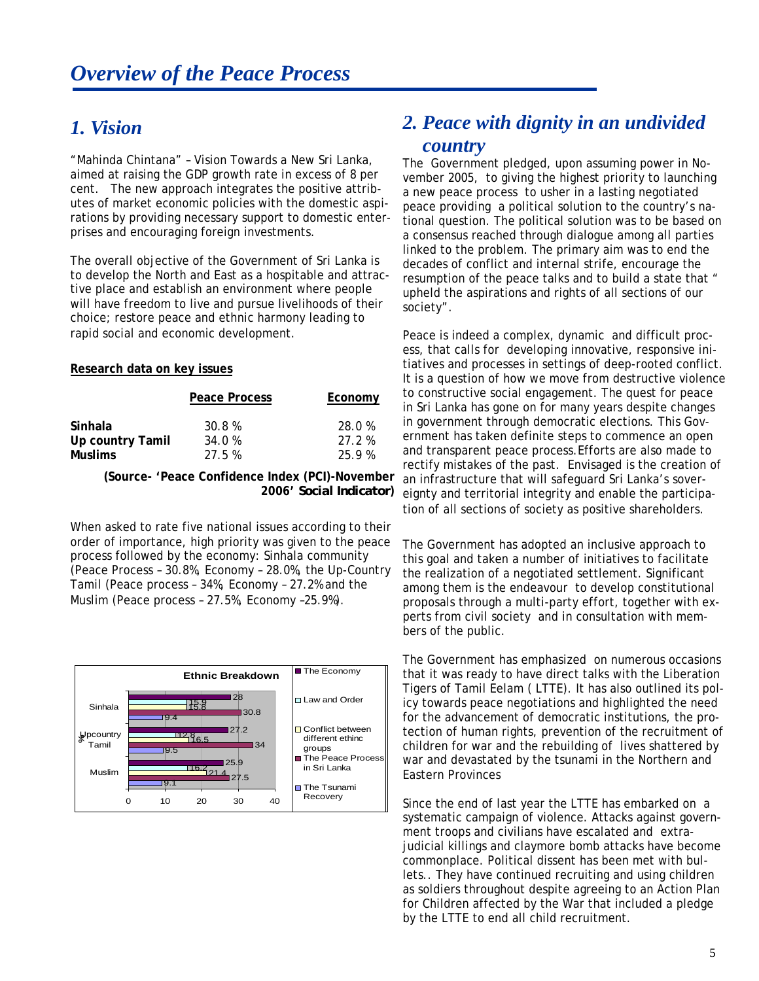## *1. Vision*

"Mahinda Chintana" – Vision Towards a New Sri Lanka, aimed at raising the GDP growth rate in excess of 8 per cent. The new approach integrates the positive attributes of market economic policies with the domestic aspirations by providing necessary support to domestic enterprises and encouraging foreign investments.

The overall objective of the Government of Sri Lanka is to develop the North and East as a hospitable and attractive place and establish an environment where people will have freedom to live and pursue livelihoods of their choice; restore peace and ethnic harmony leading to rapid social and economic development.

#### **Research data on key issues**

|                             | Peace Process    | Economy         |
|-----------------------------|------------------|-----------------|
| Sinhala<br>Up country Tamil | 30.8 %<br>34.0 % | 28.0 %<br>27.2% |
| <b>Muslims</b>              | 27.5%            | 25.9%           |

**(Source- 'Peace Confidence Index (PCI)-November 2006'** *Social Indicator***)** 

When asked to rate five national issues according to their order of importance, high priority was given to the peace process followed by the economy: Sinhala community (Peace Process – 30.8%, Economy – 28.0%, the Up-Country Tamil (Peace process – 34%, Economy – 27.2% and the Muslim (Peace process – 27.5%, Economy –25.9%).



## *2. Peace with dignity in an undivided country*

The Government pledged, upon assuming power in November 2005, to giving the highest priority to launching a new peace process to usher in a lasting negotiated peace providing a political solution to the country's national question. The political solution was to be based on a consensus reached through dialogue among all parties linked to the problem. The primary aim was to end the decades of conflict and internal strife, encourage the resumption of the peace talks and to build a state that " upheld the aspirations and rights of all sections of our society".

Peace is indeed a complex, dynamic and difficult process, that calls for developing innovative, responsive initiatives and processes in settings of deep-rooted conflict. It is a question of how we move from destructive violence to constructive social engagement. The quest for peace in Sri Lanka has gone on for many years despite changes in government through democratic elections. This Government has taken definite steps to commence an open and transparent peace process.Efforts are also made to rectify mistakes of the past. Envisaged is the creation of an infrastructure that will safeguard Sri Lanka's sovereignty and territorial integrity and enable the participation of all sections of society as positive shareholders.

The Government has adopted an inclusive approach to this goal and taken a number of initiatives to facilitate the realization of a negotiated settlement. Significant among them is the endeavour to develop constitutional proposals through a multi-party effort, together with experts from civil society and in consultation with members of the public.

The Government has emphasized on numerous occasions that it was ready to have direct talks with the Liberation Tigers of Tamil Eelam ( LTTE). It has also outlined its policy towards peace negotiations and highlighted the need for the advancement of democratic institutions, the protection of human rights, prevention of the recruitment of children for war and the rebuilding of lives shattered by war and devastated by the tsunami in the Northern and Eastern Provinces

Since the end of last year the LTTE has embarked on a systematic campaign of violence. Attacks against government troops and civilians have escalated and extrajudicial killings and claymore bomb attacks have become commonplace. Political dissent has been met with bullets.. They have continued recruiting and using children as soldiers throughout despite agreeing to an Action Plan for Children affected by the War that included a pledge by the LTTE to end all child recruitment.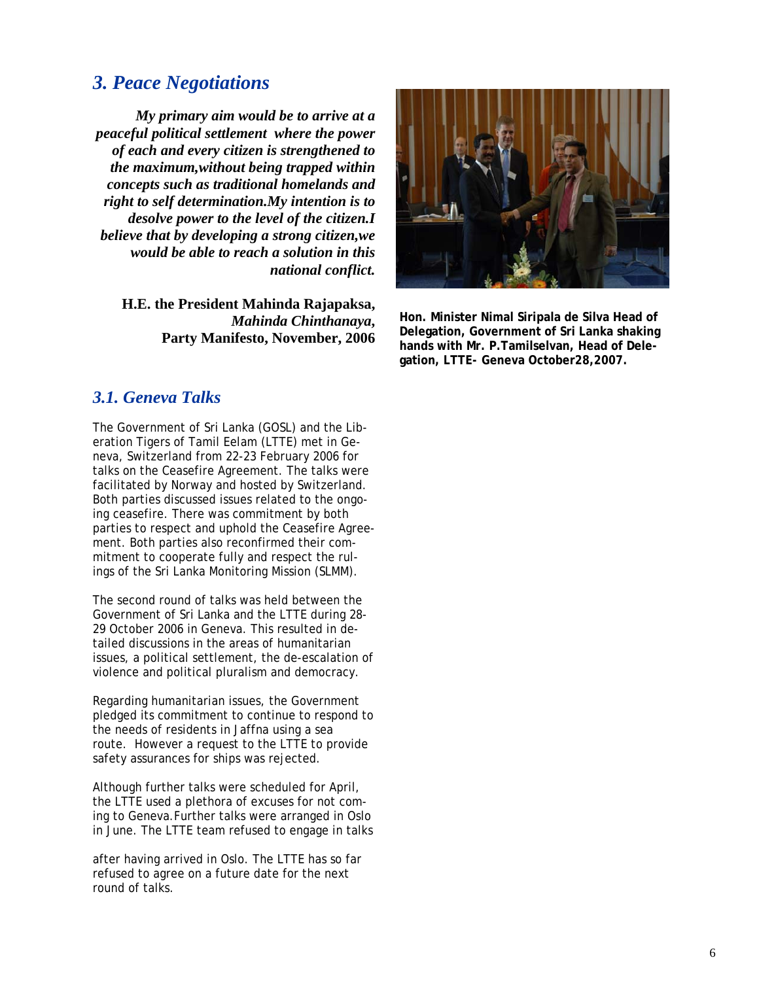## *3. Peace Negotiations*

*My primary aim would be to arrive at a peaceful political settlement where the power of each and every citizen is strengthened to the maximum,without being trapped within concepts such as traditional homelands and right to self determination.My intention is to desolve power to the level of the citizen.I believe that by developing a strong citizen,we would be able to reach a solution in this national conflict.* 

**H.E. the President Mahinda Rajapaksa,**  *Mahinda Chinthanaya***, Party Manifesto, November, 2006** 

## *3.1. Geneva Talks*

The Government of Sri Lanka (GOSL) and the Liberation Tigers of Tamil Eelam (LTTE) met in Geneva, Switzerland from 22-23 February 2006 for talks on the Ceasefire Agreement. The talks were facilitated by Norway and hosted by Switzerland. Both parties discussed issues related to the ongoing ceasefire. There was commitment by both parties to respect and uphold the Ceasefire Agreement. Both parties also reconfirmed their commitment to cooperate fully and respect the rulings of the Sri Lanka Monitoring Mission (SLMM).

The second round of talks was held between the Government of Sri Lanka and the LTTE during 28- 29 October 2006 in Geneva. This resulted in detailed discussions in the areas of humanitarian issues, a political settlement, the de-escalation of violence and political pluralism and democracy.

Regarding humanitarian issues, the Government pledged its commitment to continue to respond to the needs of residents in Jaffna using a sea route. However a request to the LTTE to provide safety assurances for ships was rejected.

Although further talks were scheduled for April, the LTTE used a plethora of excuses for not coming to Geneva.Further talks were arranged in Oslo in June. The LTTE team refused to engage in talks

after having arrived in Oslo. The LTTE has so far refused to agree on a future date for the next round of talks.



**Hon. Minister Nimal Siripala de Silva Head of Delegation, Government of Sri Lanka shaking hands with Mr. P.Tamilselvan, Head of Delegation, LTTE- Geneva October28,2007.**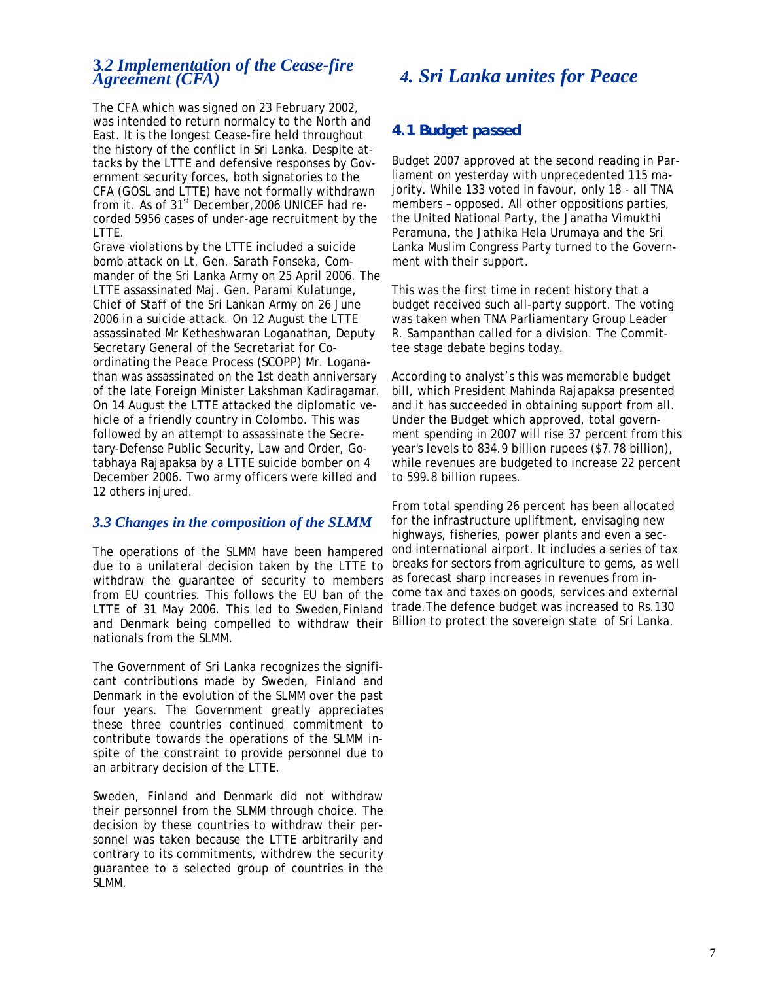### *Agreement (CFA)*  **3***.2 Implementation of the Cease-fire*

The CFA which was signed on 23 February 2002, was intended to return normalcy to the North and East. It is the longest Cease-fire held throughout the history of the conflict in Sri Lanka. Despite attacks by the LTTE and defensive responses by Government security forces, both signatories to the CFA (GOSL and LTTE) have not formally withdrawn from it. As of  $31<sup>st</sup>$  December, 2006 UNICEF had recorded 5956 cases of under-age recruitment by the LTTE.

Grave violations by the LTTE included a suicide bomb attack on Lt. Gen. Sarath Fonseka, Commander of the Sri Lanka Army on 25 April 2006. The LTTE assassinated Maj. Gen. Parami Kulatunge, Chief of Staff of the Sri Lankan Army on 26 June 2006 in a suicide attack. On 12 August the LTTE assassinated Mr Ketheshwaran Loganathan, Deputy Secretary General of the Secretariat for Coordinating the Peace Process (SCOPP) Mr. Loganathan was assassinated on the 1st death anniversary of the late Foreign Minister Lakshman Kadiragamar. On 14 August the LTTE attacked the diplomatic vehicle of a friendly country in Colombo. This was followed by an attempt to assassinate the Secretary-Defense Public Security, Law and Order, Gotabhaya Rajapaksa by a LTTE suicide bomber on 4 December 2006. Two army officers were killed and 12 others injured.

#### *3.3 Changes in the composition of the SLMM*

The operations of the SLMM have been hampered due to a unilateral decision taken by the LTTE to withdraw the guarantee of security to members from EU countries. This follows the EU ban of the LTTE of 31 May 2006. This led to Sweden,Finland and Denmark being compelled to withdraw their Billion to protect the sovereign state of Sri Lanka. nationals from the SLMM.

The Government of Sri Lanka recognizes the significant contributions made by Sweden, Finland and Denmark in the evolution of the SLMM over the past four years. The Government greatly appreciates these three countries continued commitment to contribute towards the operations of the SLMM inspite of the constraint to provide personnel due to an arbitrary decision of the LTTE.

Sweden, Finland and Denmark did not withdraw their personnel from the SLMM through choice. The decision by these countries to withdraw their personnel was taken because the LTTE arbitrarily and contrary to its commitments, withdrew the security guarantee to a selected group of countries in the SLMM.

## *4. Sri Lanka unites for Peace*

## *4.1 Budget passed*

Budget 2007 approved at the second reading in Parliament on yesterday with unprecedented 115 majority. While 133 voted in favour, only 18 - all TNA members – opposed. All other oppositions parties, the United National Party, the Janatha Vimukthi Peramuna, the Jathika Hela Urumaya and the Sri Lanka Muslim Congress Party turned to the Government with their support.

This was the first time in recent history that a budget received such all-party support. The voting was taken when TNA Parliamentary Group Leader R. Sampanthan called for a division. The Committee stage debate begins today.

According to analyst's this was memorable budget bill, which President Mahinda Rajapaksa presented and it has succeeded in obtaining support from all. Under the Budget which approved, total government spending in 2007 will rise 37 percent from this year's levels to 834.9 billion rupees (\$7.78 billion), while revenues are budgeted to increase 22 percent to 599.8 billion rupees.

From total spending 26 percent has been allocated for the infrastructure upliftment, envisaging new highways, fisheries, power plants and even a second international airport. It includes a series of tax breaks for sectors from agriculture to gems, as well as forecast sharp increases in revenues from income tax and taxes on goods, services and external trade.The defence budget was increased to Rs.130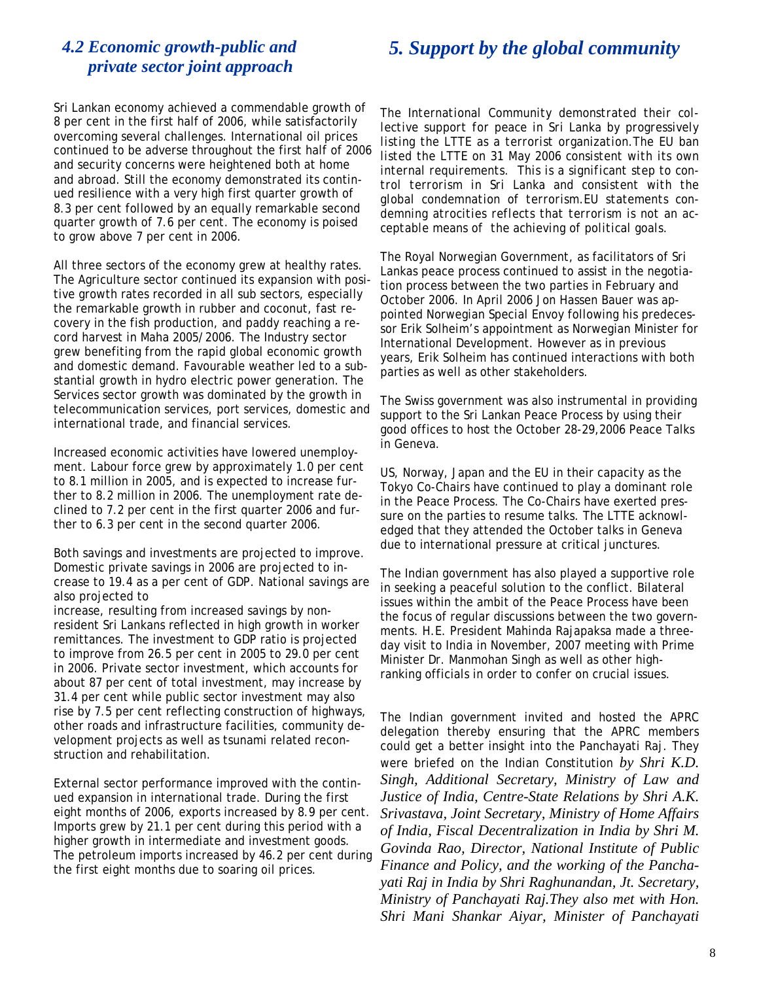## *5. Support by the global community*

## *private sector joint approach 4.2 Economic growth-public and*

Sri Lankan economy achieved a commendable growth of 8 per cent in the first half of 2006, while satisfactorily overcoming several challenges. International oil prices continued to be adverse throughout the first half of 2006 and security concerns were heightened both at home and abroad. Still the economy demonstrated its continued resilience with a very high first quarter growth of 8.3 per cent followed by an equally remarkable second quarter growth of 7.6 per cent. The economy is poised to grow above 7 per cent in 2006.

All three sectors of the economy grew at healthy rates. The Agriculture sector continued its expansion with positive growth rates recorded in all sub sectors, especially the remarkable growth in rubber and coconut, fast recovery in the fish production, and paddy reaching a record harvest in Maha 2005/2006. The Industry sector grew benefiting from the rapid global economic growth and domestic demand. Favourable weather led to a substantial growth in hydro electric power generation. The Services sector growth was dominated by the growth in telecommunication services, port services, domestic and international trade, and financial services.

Increased economic activities have lowered unemployment. Labour force grew by approximately 1.0 per cent to 8.1 million in 2005, and is expected to increase further to 8.2 million in 2006. The unemployment rate declined to 7.2 per cent in the first quarter 2006 and further to 6.3 per cent in the second quarter 2006.

Both savings and investments are projected to improve. Domestic private savings in 2006 are projected to increase to 19.4 as a per cent of GDP. National savings are also projected to

increase, resulting from increased savings by nonresident Sri Lankans reflected in high growth in worker remittances. The investment to GDP ratio is projected to improve from 26.5 per cent in 2005 to 29.0 per cent in 2006. Private sector investment, which accounts for about 87 per cent of total investment, may increase by 31.4 per cent while public sector investment may also rise by 7.5 per cent reflecting construction of highways, other roads and infrastructure facilities, community development projects as well as tsunami related reconstruction and rehabilitation.

External sector performance improved with the continued expansion in international trade. During the first eight months of 2006, exports increased by 8.9 per cent. Imports grew by 21.1 per cent during this period with a higher growth in intermediate and investment goods. The petroleum imports increased by 46.2 per cent during the first eight months due to soaring oil prices.

*The International Community demonstrated their collective support for peace in Sri Lanka by progressively listing the LTTE as a terrorist organization.The EU ban listed the LTTE on 31 May 2006 consistent with its own internal requirements. This is a significant step to control terrorism in Sri Lanka and consistent with the global condemnation of terrorism.EU statements condemning atrocities reflects that terrorism is not an acceptable means of the achieving of political goals.* 

The Royal Norwegian Government, as facilitators of Sri Lankas peace process continued to assist in the negotiation process between the two parties in February and October 2006. In April 2006 Jon Hassen Bauer was appointed Norwegian Special Envoy following his predecessor Erik Solheim's appointment as Norwegian Minister for International Development. However as in previous years, Erik Solheim has continued interactions with both parties as well as other stakeholders.

The Swiss government was also instrumental in providing support to the Sri Lankan Peace Process by using their good offices to host the October 28-29,2006 Peace Talks in Geneva.

US, Norway, Japan and the EU in their capacity as the Tokyo Co-Chairs have continued to play a dominant role in the Peace Process. The Co-Chairs have exerted pressure on the parties to resume talks. The LTTE acknowledged that they attended the October talks in Geneva due to international pressure at critical junctures.

The Indian government has also played a supportive role in seeking a peaceful solution to the conflict. Bilateral issues within the ambit of the Peace Process have been the focus of regular discussions between the two governments. H.E. President Mahinda Rajapaksa made a threeday visit to India in November, 2007 meeting with Prime Minister Dr. Manmohan Singh as well as other highranking officials in order to confer on crucial issues.

The Indian government invited and hosted the APRC delegation thereby ensuring that the APRC members could get a better insight into the Panchayati Raj. They were briefed on the Indian Constitution *by Shri K.D. Singh, Additional Secretary, Ministry of Law and Justice of India, Centre-State Relations by Shri A.K. Srivastava, Joint Secretary, Ministry of Home Affairs of India, Fiscal Decentralization in India by Shri M. Govinda Rao, Director, National Institute of Public Finance and Policy, and the working of the Panchayati Raj in India by Shri Raghunandan, Jt. Secretary, Ministry of Panchayati Raj.They also met with Hon. Shri Mani Shankar Aiyar, Minister of Panchayati*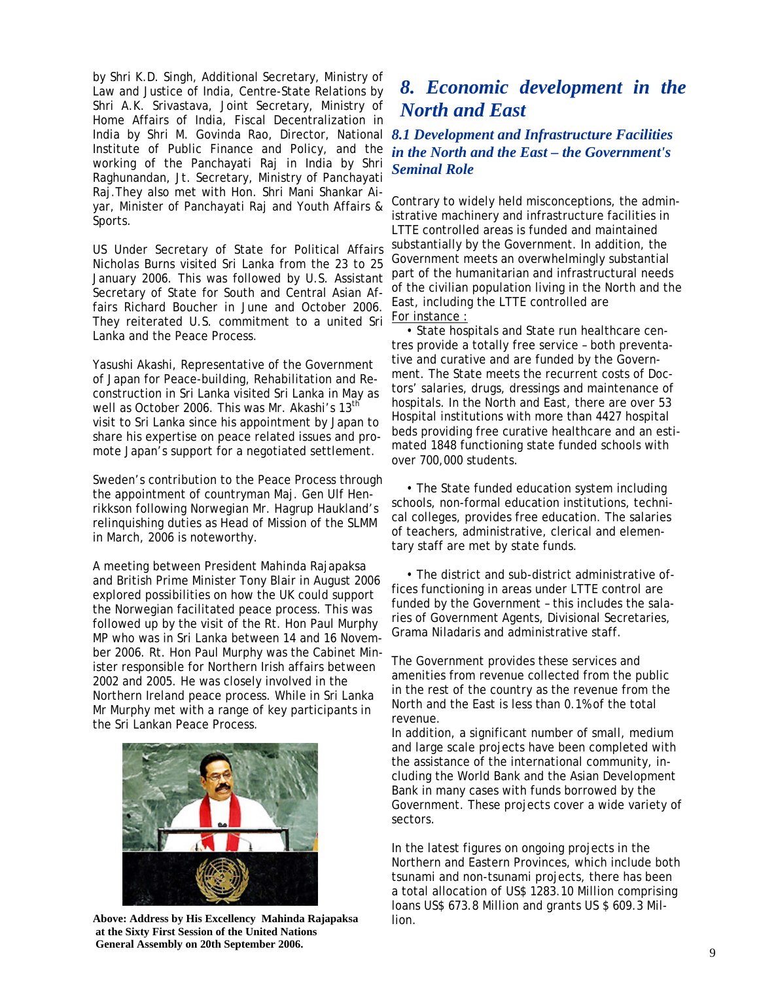by Shri K.D. Singh, Additional Secretary, Ministry of Law and Justice of India, Centre-State Relations by Shri A.K. Srivastava, Joint Secretary, Ministry of Home Affairs of India, Fiscal Decentralization in India by Shri M. Govinda Rao, Director, National *8.1 Development and Infrastructure Facilities*  Institute of Public Finance and Policy, and the working of the Panchayati Raj in India by Shri Raghunandan, Jt. Secretary, Ministry of Panchayati Raj.They also met with Hon. Shri Mani Shankar Aiyar, Minister of Panchayati Raj and Youth Affairs & Sports.

US Under Secretary of State for Political Affairs Nicholas Burns visited Sri Lanka from the 23 to 25 January 2006. This was followed by U.S. Assistant Secretary of State for South and Central Asian Affairs Richard Boucher in June and October 2006. They reiterated U.S. commitment to a united Sri Lanka and the Peace Process.

Yasushi Akashi, Representative of the Government of Japan for Peace-building, Rehabilitation and Reconstruction in Sri Lanka visited Sri Lanka in May as well as October 2006. This was Mr. Akashi's 13<sup>th</sup> visit to Sri Lanka since his appointment by Japan to share his expertise on peace related issues and promote Japan's support for a negotiated settlement.

Sweden's contribution to the Peace Process through the appointment of countryman Maj. Gen Ulf Henrikkson following Norwegian Mr. Hagrup Haukland's relinquishing duties as Head of Mission of the SLMM in March, 2006 is noteworthy.

A meeting between President Mahinda Rajapaksa and British Prime Minister Tony Blair in August 2006 explored possibilities on how the UK could support the Norwegian facilitated peace process. This was followed up by the visit of the Rt. Hon Paul Murphy MP who was in Sri Lanka between 14 and 16 November 2006. Rt. Hon Paul Murphy was the Cabinet Minister responsible for Northern Irish affairs between 2002 and 2005. He was closely involved in the Northern Ireland peace process. While in Sri Lanka Mr Murphy met with a range of key participants in the Sri Lankan Peace Process.



**Above: Address by His Excellency Mahinda Rajapaksa at the Sixty First Session of the United Nations General Assembly on 20th September 2006.**

## *8. Economic development in the North and East*

## *in the North and the East – the Government's Seminal Role*

Contrary to widely held misconceptions, the administrative machinery and infrastructure facilities in LTTE controlled areas is funded and maintained substantially by the Government. In addition, the Government meets an overwhelmingly substantial part of the humanitarian and infrastructural needs of the civilian population living in the North and the East, including the LTTE controlled are For instance :

 • State hospitals and State run healthcare centres provide a totally free service – both preventative and curative and are funded by the Government. The State meets the recurrent costs of Doctors' salaries, drugs, dressings and maintenance of hospitals. In the North and East, there are over 53 Hospital institutions with more than 4427 hospital beds providing free curative healthcare and an estimated 1848 functioning state funded schools with over 700,000 students.

 • The State funded education system including schools, non-formal education institutions, technical colleges, provides free education. The salaries of teachers, administrative, clerical and elementary staff are met by state funds.

 • The district and sub-district administrative offices functioning in areas under LTTE control are funded by the Government – this includes the salaries of Government Agents, Divisional Secretaries, Grama Niladaris and administrative staff.

The Government provides these services and amenities from revenue collected from the public in the rest of the country as the revenue from the North and the East is less than 0.1% of the total revenue.

In addition, a significant number of small, medium and large scale projects have been completed with the assistance of the international community, including the World Bank and the Asian Development Bank in many cases with funds borrowed by the Government. These projects cover a wide variety of sectors.

In the latest figures on ongoing projects in the Northern and Eastern Provinces, which include both tsunami and non-tsunami projects, there has been a total allocation of US\$ 1283.10 Million comprising loans US\$ 673.8 Million and grants US \$ 609.3 Million.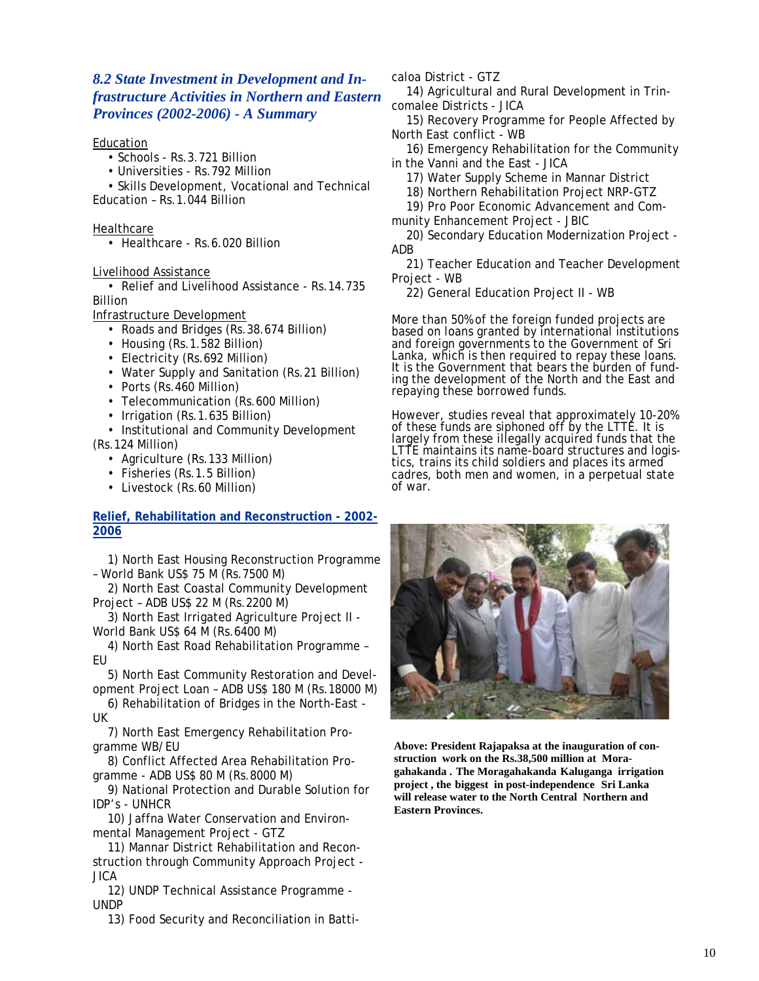#### *8.2 State Investment in Development and Infrastructure Activities in Northern and Eastern Provinces (2002-2006) - A Summary*

#### Education

- Schools Rs.3.721 Billion
- Universities Rs.792 Million

 • Skills Development, Vocational and Technical Education – Rs.1.044 Billion

#### **Healthcare**

• Healthcare - Rs.6.020 Billion

Livelihood Assistance

 • Relief and Livelihood Assistance - Rs.14.735 Billion

Infrastructure Development

- Roads and Bridges (Rs.38.674 Billion)
- Housing (Rs.1.582 Billion)
- Electricity (Rs.692 Million)
- Water Supply and Sanitation (Rs. 21 Billion)
- Ports (Rs.460 Million)
- Telecommunication (Rs.600 Million)
- Irrigation (Rs.1.635 Billion)
- Institutional and Community Development
- (Rs.124 Million)
	- Agriculture (Rs.133 Million)
	- Fisheries (Rs.1.5 Billion)
	- Livestock (Rs.60 Million)

#### **Relief, Rehabilitation and Reconstruction - 2002- 2006**

 1) North East Housing Reconstruction Programme – World Bank US\$ 75 M (Rs.7500 M)

 2) North East Coastal Community Development Project – ADB US\$ 22 M (Rs.2200 M)

 3) North East Irrigated Agriculture Project II - World Bank US\$ 64 M (Rs.6400 M)

 4) North East Road Rehabilitation Programme – EU

 5) North East Community Restoration and Development Project Loan – ADB US\$ 180 M (Rs.18000 M)

 6) Rehabilitation of Bridges in the North-East - UK

 7) North East Emergency Rehabilitation Programme WB/EU

 8) Conflict Affected Area Rehabilitation Programme - ADB US\$ 80 M (Rs.8000 M)

 9) National Protection and Durable Solution for IDP's - UNHCR

 10) Jaffna Water Conservation and Environmental Management Project - GTZ

 11) Mannar District Rehabilitation and Reconstruction through Community Approach Project - JICA

 12) UNDP Technical Assistance Programme - UNDP

13) Food Security and Reconciliation in Batti-

caloa District - GTZ

 14) Agricultural and Rural Development in Trincomalee Districts - JICA

 15) Recovery Programme for People Affected by North East conflict - WB

 16) Emergency Rehabilitation for the Community in the Vanni and the East - JICA

17) Water Supply Scheme in Mannar District

18) Northern Rehabilitation Project NRP-GTZ

19) Pro Poor Economic Advancement and Com-

munity Enhancement Project - JBIC

 20) Secondary Education Modernization Project - ADB

 21) Teacher Education and Teacher Development Project - WB

22) General Education Project II - WB

More than 50% of the foreign funded projects are based on loans granted by international institutions and foreign governments to the Government of Sri Lanka, which is then required to repay these loans. It is the Government that bears the burden of funding the development of the North and the East and repaying these borrowed funds.

However, studies reveal that approximately 10-20% of these funds are siphoned off by the LTTE. It is largely from these illegally acquired funds that the LTTE maintains its name-board structures and logistics, trains its child soldiers and places its armed cadres, both men and women, in a perpetual state of war.



**Above: President Rajapaksa at the inauguration of construction work on the Rs.38,500 million at Moragahakanda . The Moragahakanda Kaluganga irrigation project , the biggest in post-independence Sri Lanka will release water to the North Central Northern and Eastern Provinces.**